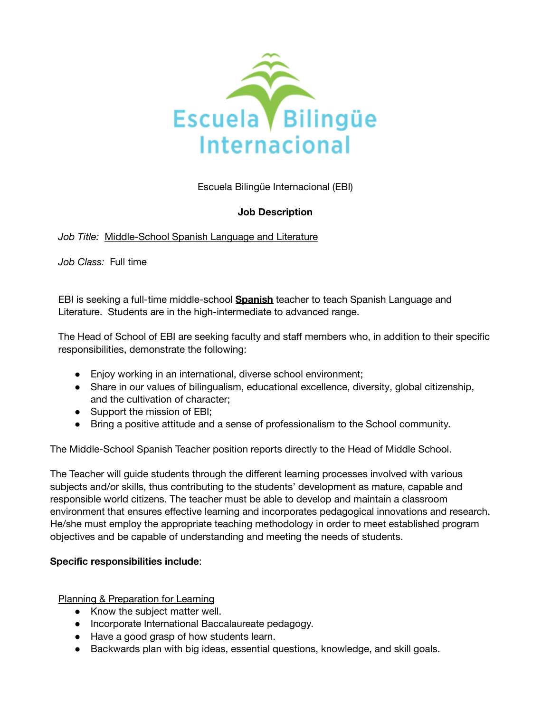

Escuela Bilingüe Internacional (EBI)

# **Job Description**

# *Job Title:* Middle-School Spanish Language and Literature

*Job Class:* Full time

EBI is seeking a full-time middle-school **Spanish** teacher to teach Spanish Language and Literature. Students are in the high-intermediate to advanced range.

The Head of School of EBI are seeking faculty and staff members who, in addition to their specific responsibilities, demonstrate the following:

- Enjoy working in an international, diverse school environment;
- Share in our values of bilingualism, educational excellence, diversity, global citizenship, and the cultivation of character;
- Support the mission of EBI;
- Bring a positive attitude and a sense of professionalism to the School community.

The Middle-School Spanish Teacher position reports directly to the Head of Middle School.

The Teacher will guide students through the different learning processes involved with various subjects and/or skills, thus contributing to the students' development as mature, capable and responsible world citizens. The teacher must be able to develop and maintain a classroom environment that ensures effective learning and incorporates pedagogical innovations and research. He/she must employ the appropriate teaching methodology in order to meet established program objectives and be capable of understanding and meeting the needs of students.

# **Specific responsibilities include**:

Planning & Preparation for Learning

- Know the subject matter well.
- Incorporate International Baccalaureate pedagogy.
- Have a good grasp of how students learn.
- Backwards plan with big ideas, essential questions, knowledge, and skill goals.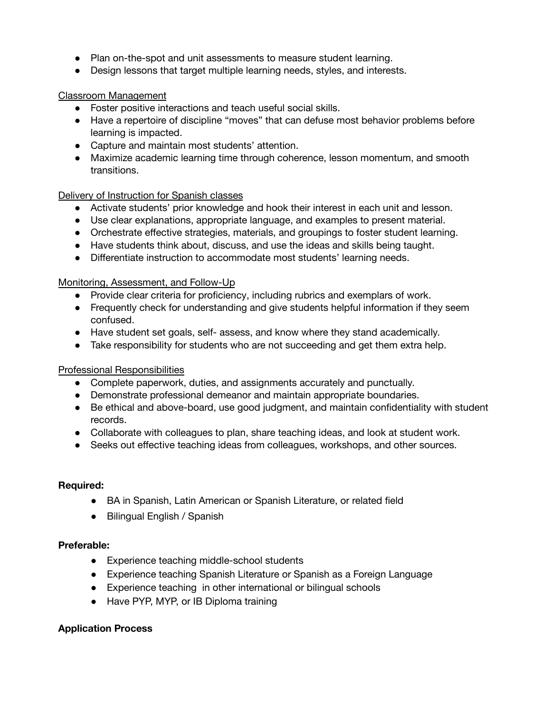- Plan on-the-spot and unit assessments to measure student learning.
- Design lessons that target multiple learning needs, styles, and interests.

## Classroom Management

- Foster positive interactions and teach useful social skills.
- Have a repertoire of discipline "moves" that can defuse most behavior problems before learning is impacted.
- Capture and maintain most students' attention.
- Maximize academic learning time through coherence, lesson momentum, and smooth transitions.

### Delivery of Instruction for Spanish classes

- Activate students' prior knowledge and hook their interest in each unit and lesson.
- Use clear explanations, appropriate language, and examples to present material.
- Orchestrate effective strategies, materials, and groupings to foster student learning.
- Have students think about, discuss, and use the ideas and skills being taught.
- Differentiate instruction to accommodate most students' learning needs.

### Monitoring, Assessment, and Follow-Up

- Provide clear criteria for proficiency, including rubrics and exemplars of work.
- Frequently check for understanding and give students helpful information if they seem confused.
- Have student set goals, self- assess, and know where they stand academically.
- Take responsibility for students who are not succeeding and get them extra help.

### Professional Responsibilities

- Complete paperwork, duties, and assignments accurately and punctually.
- Demonstrate professional demeanor and maintain appropriate boundaries.
- Be ethical and above-board, use good judgment, and maintain confidentiality with student records.
- Collaborate with colleagues to plan, share teaching ideas, and look at student work.
- Seeks out effective teaching ideas from colleagues, workshops, and other sources.

### **Required:**

- BA in Spanish, Latin American or Spanish Literature, or related field
- **●** Bilingual English / Spanish

### **Preferable:**

- Experience teaching middle-school students
- Experience teaching Spanish Literature or Spanish as a Foreign Language
- Experience teaching in other international or bilingual schools
- Have PYP, MYP, or IB Diploma training

### **Application Process**